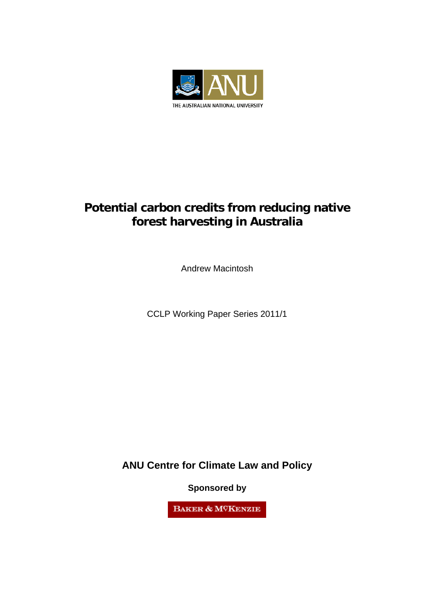

# **Potential carbon credits from reducing native forest harvesting in Australia**

Andrew Macintosh

CCLP Working Paper Series 2011/1

**ANU Centre for Climate Law and Policy** 

**Sponsored by** 

BAKER & M<sup>Q</sup>KENZIE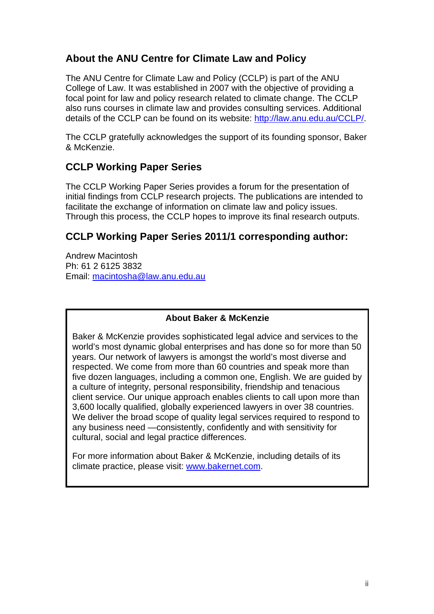# **About the ANU Centre for Climate Law and Policy**

The ANU Centre for Climate Law and Policy (CCLP) is part of the ANU College of Law. It was established in 2007 with the objective of providing a focal point for law and policy research related to climate change. The CCLP also runs courses in climate law and provides consulting services. Additional details of the CCLP can be found on its website: http://law.anu.edu.au/CCLP/.

The CCLP gratefully acknowledges the support of its founding sponsor, Baker & McKenzie.

# **CCLP Working Paper Series**

The CCLP Working Paper Series provides a forum for the presentation of initial findings from CCLP research projects. The publications are intended to facilitate the exchange of information on climate law and policy issues. Through this process, the CCLP hopes to improve its final research outputs.

# **CCLP Working Paper Series 2011/1 corresponding author:**

Andrew Macintosh Ph: 61 2 6125 3832 Email: macintosha@law.anu.edu.au

## **About Baker & McKenzie**

Baker & McKenzie provides sophisticated legal advice and services to the world's most dynamic global enterprises and has done so for more than 50 years. Our network of lawyers is amongst the world's most diverse and respected. We come from more than 60 countries and speak more than five dozen languages, including a common one, English. We are guided by a culture of integrity, personal responsibility, friendship and tenacious client service. Our unique approach enables clients to call upon more than 3,600 locally qualified, globally experienced lawyers in over 38 countries. We deliver the broad scope of quality legal services required to respond to any business need —consistently, confidently and with sensitivity for cultural, social and legal practice differences.

For more information about Baker & McKenzie, including details of its climate practice, please visit: www.bakernet.com.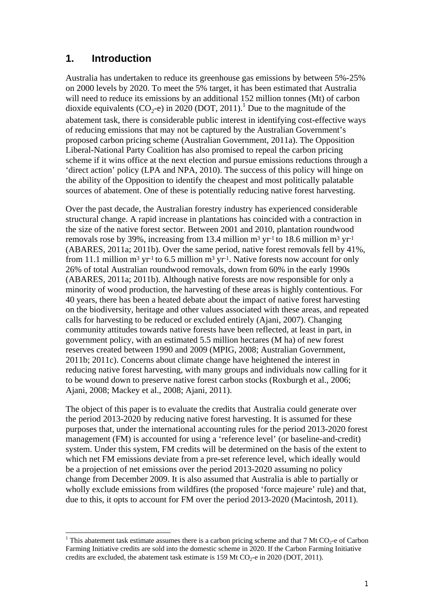# **1. Introduction**

 $\overline{a}$ 

Australia has undertaken to reduce its greenhouse gas emissions by between 5%-25% on 2000 levels by 2020. To meet the 5% target, it has been estimated that Australia will need to reduce its emissions by an additional 152 million tonnes (Mt) of carbon dioxide equivalents (CO<sub>2</sub>-e) in 2020 (DOT, 2011).<sup>1</sup> Due to the magnitude of the abatement task, there is considerable public interest in identifying cost-effective ways of reducing emissions that may not be captured by the Australian Government's proposed carbon pricing scheme (Australian Government, 2011a). The Opposition Liberal-National Party Coalition has also promised to repeal the carbon pricing scheme if it wins office at the next election and pursue emissions reductions through a 'direct action' policy (LPA and NPA, 2010). The success of this policy will hinge on the ability of the Opposition to identify the cheapest and most politically palatable sources of abatement. One of these is potentially reducing native forest harvesting.

Over the past decade, the Australian forestry industry has experienced considerable structural change. A rapid increase in plantations has coincided with a contraction in the size of the native forest sector. Between 2001 and 2010, plantation roundwood removals rose by 39%, increasing from 13.4 million  $m^3$  yr<sup>-1</sup> to 18.6 million  $m^3$  yr<sup>-1</sup> (ABARES, 2011a; 2011b). Over the same period, native forest removals fell by 41%, from 11.1 million  $m^3$  yr<sup>-1</sup> to 6.5 million  $m^3$  yr<sup>-1</sup>. Native forests now account for only 26% of total Australian roundwood removals, down from 60% in the early 1990s (ABARES, 2011a; 2011b). Although native forests are now responsible for only a minority of wood production, the harvesting of these areas is highly contentious. For 40 years, there has been a heated debate about the impact of native forest harvesting on the biodiversity, heritage and other values associated with these areas, and repeated calls for harvesting to be reduced or excluded entirely (Ajani, 2007). Changing community attitudes towards native forests have been reflected, at least in part, in government policy, with an estimated 5.5 million hectares (M ha) of new forest reserves created between 1990 and 2009 (MPIG, 2008; Australian Government, 2011b; 2011c). Concerns about climate change have heightened the interest in reducing native forest harvesting, with many groups and individuals now calling for it to be wound down to preserve native forest carbon stocks (Roxburgh et al., 2006; Ajani, 2008; Mackey et al., 2008; Ajani, 2011).

The object of this paper is to evaluate the credits that Australia could generate over the period 2013-2020 by reducing native forest harvesting. It is assumed for these purposes that, under the international accounting rules for the period 2013-2020 forest management (FM) is accounted for using a 'reference level' (or baseline-and-credit) system. Under this system, FM credits will be determined on the basis of the extent to which net FM emissions deviate from a pre-set reference level, which ideally would be a projection of net emissions over the period 2013-2020 assuming no policy change from December 2009. It is also assumed that Australia is able to partially or wholly exclude emissions from wildfires (the proposed 'force majeure' rule) and that, due to this, it opts to account for FM over the period 2013-2020 (Macintosh, 2011).

<sup>&</sup>lt;sup>1</sup> This abatement task estimate assumes there is a carbon pricing scheme and that 7 Mt CO<sub>2</sub>-e of Carbon Farming Initiative credits are sold into the domestic scheme in 2020. If the Carbon Farming Initiative credits are excluded, the abatement task estimate is  $159$  Mt CO<sub>2</sub>-e in 2020 (DOT, 2011).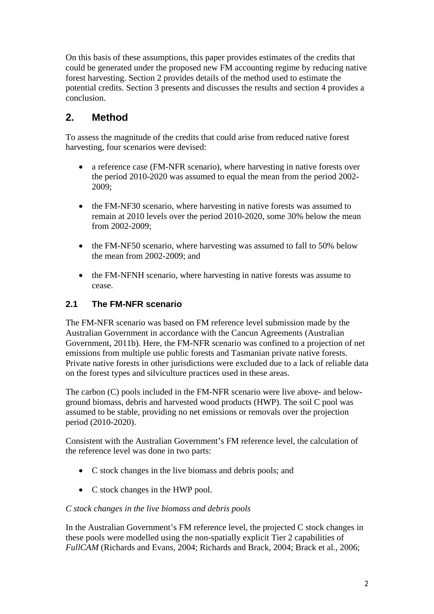On this basis of these assumptions, this paper provides estimates of the credits that could be generated under the proposed new FM accounting regime by reducing native forest harvesting. Section 2 provides details of the method used to estimate the potential credits. Section 3 presents and discusses the results and section 4 provides a conclusion.

# **2. Method**

To assess the magnitude of the credits that could arise from reduced native forest harvesting, four scenarios were devised:

- a reference case (FM-NFR scenario), where harvesting in native forests over the period 2010-2020 was assumed to equal the mean from the period 2002- 2009;
- the FM-NF30 scenario, where harvesting in native forests was assumed to remain at 2010 levels over the period 2010-2020, some 30% below the mean from 2002-2009;
- the FM-NF50 scenario, where harvesting was assumed to fall to 50% below the mean from 2002-2009; and
- the FM-NFNH scenario, where harvesting in native forests was assume to cease.

## **2.1 The FM-NFR scenario**

The FM-NFR scenario was based on FM reference level submission made by the Australian Government in accordance with the Cancun Agreements (Australian Government, 2011b). Here, the FM-NFR scenario was confined to a projection of net emissions from multiple use public forests and Tasmanian private native forests. Private native forests in other jurisdictions were excluded due to a lack of reliable data on the forest types and silviculture practices used in these areas.

The carbon (C) pools included in the FM-NFR scenario were live above- and belowground biomass, debris and harvested wood products (HWP). The soil C pool was assumed to be stable, providing no net emissions or removals over the projection period (2010-2020).

Consistent with the Australian Government's FM reference level, the calculation of the reference level was done in two parts:

- C stock changes in the live biomass and debris pools; and
- C stock changes in the HWP pool.

#### *C stock changes in the live biomass and debris pools*

In the Australian Government's FM reference level, the projected C stock changes in these pools were modelled using the non-spatially explicit Tier 2 capabilities of *FullCAM* (Richards and Evans, 2004; Richards and Brack, 2004; Brack et al., 2006;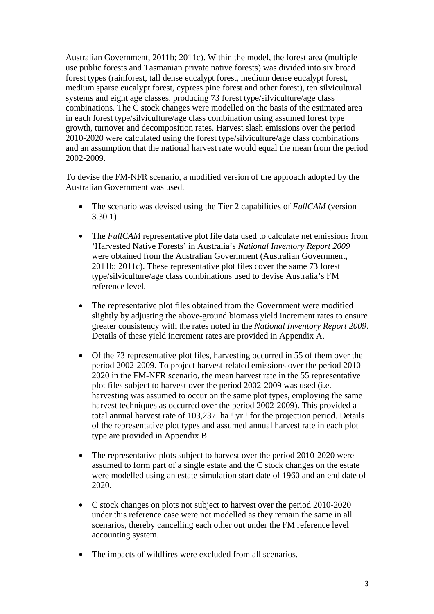Australian Government, 2011b; 2011c). Within the model, the forest area (multiple use public forests and Tasmanian private native forests) was divided into six broad forest types (rainforest, tall dense eucalypt forest, medium dense eucalypt forest, medium sparse eucalypt forest, cypress pine forest and other forest), ten silvicultural systems and eight age classes, producing 73 forest type/silviculture/age class combinations. The C stock changes were modelled on the basis of the estimated area in each forest type/silviculture/age class combination using assumed forest type growth, turnover and decomposition rates. Harvest slash emissions over the period 2010-2020 were calculated using the forest type/silviculture/age class combinations and an assumption that the national harvest rate would equal the mean from the period 2002-2009.

To devise the FM-NFR scenario, a modified version of the approach adopted by the Australian Government was used.

- The scenario was devised using the Tier 2 capabilities of *FullCAM* (version  $3.30.1$ ).
- The *FullCAM* representative plot file data used to calculate net emissions from 'Harvested Native Forests' in Australia's *National Inventory Report 2009* were obtained from the Australian Government (Australian Government, 2011b; 2011c). These representative plot files cover the same 73 forest type/silviculture/age class combinations used to devise Australia's FM reference level.
- The representative plot files obtained from the Government were modified slightly by adjusting the above-ground biomass yield increment rates to ensure greater consistency with the rates noted in the *National Inventory Report 2009*. Details of these yield increment rates are provided in Appendix A.
- Of the 73 representative plot files, harvesting occurred in 55 of them over the period 2002-2009. To project harvest-related emissions over the period 2010- 2020 in the FM-NFR scenario, the mean harvest rate in the 55 representative plot files subject to harvest over the period 2002-2009 was used (i.e. harvesting was assumed to occur on the same plot types, employing the same harvest techniques as occurred over the period 2002-2009). This provided a total annual harvest rate of  $103,237$  ha<sup>-1</sup> yr<sup>-1</sup> for the projection period. Details of the representative plot types and assumed annual harvest rate in each plot type are provided in Appendix B.
- The representative plots subject to harvest over the period 2010-2020 were assumed to form part of a single estate and the C stock changes on the estate were modelled using an estate simulation start date of 1960 and an end date of 2020.
- C stock changes on plots not subject to harvest over the period 2010-2020 under this reference case were not modelled as they remain the same in all scenarios, thereby cancelling each other out under the FM reference level accounting system.
- The impacts of wildfires were excluded from all scenarios.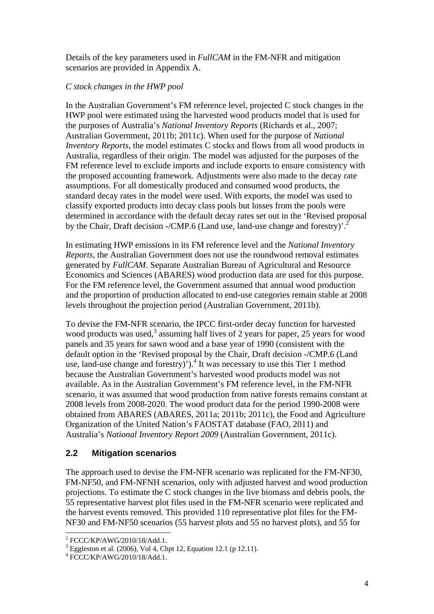Details of the key parameters used in *FullCAM* in the FM-NFR and mitigation scenarios are provided in Appendix A.

#### *C stock changes in the HWP pool*

In the Australian Government's FM reference level, projected C stock changes in the HWP pool were estimated using the harvested wood products model that is used for the purposes of Australia's *National Inventory Reports* (Richards et al., 2007; Australian Government, 2011b; 2011c). When used for the purpose of *National Inventory Reports*, the model estimates C stocks and flows from all wood products in Australia, regardless of their origin. The model was adjusted for the purposes of the FM reference level to exclude imports and include exports to ensure consistency with the proposed accounting framework. Adjustments were also made to the decay rate assumptions. For all domestically produced and consumed wood products, the standard decay rates in the model were used. With exports, the model was used to classify exported products into decay class pools but losses from the pools were determined in accordance with the default decay rates set out in the 'Revised proposal by the Chair, Draft decision -/CMP.6 (Land use, land-use change and forestry)'.<sup>2</sup>

In estimating HWP emissions in its FM reference level and the *National Inventory Reports*, the Australian Government does not use the roundwood removal estimates generated by *FullCAM*. Separate Australian Bureau of Agricultural and Resource Economics and Sciences (ABARES) wood production data are used for this purpose. For the FM reference level, the Government assumed that annual wood production and the proportion of production allocated to end-use categories remain stable at 2008 levels throughout the projection period (Australian Government, 2011b).

To devise the FM-NFR scenario, the IPCC first-order decay function for harvested wood products was used, $3$  assuming half lives of 2 years for paper, 25 years for wood panels and 35 years for sawn wood and a base year of 1990 (consistent with the default option in the 'Revised proposal by the Chair, Draft decision -/CMP.6 (Land use, land-use change and forestry)'.<sup>4</sup> It was necessary to use this Tier 1 method because the Australian Government's harvested wood products model was not available. As in the Australian Government's FM reference level, in the FM-NFR scenario, it was assumed that wood production from native forests remains constant at 2008 levels from 2008-2020. The wood product data for the period 1990-2008 were obtained from ABARES (ABARES, 2011a; 2011b; 2011c), the Food and Agriculture Organization of the United Nation's FAOSTAT database (FAO, 2011) and Australia's *National Inventory Report 2009* (Australian Government, 2011c).

## **2.2 Mitigation scenarios**

The approach used to devise the FM-NFR scenario was replicated for the FM-NF30, FM-NF50, and FM-NFNH scenarios, only with adjusted harvest and wood production projections. To estimate the C stock changes in the live biomass and debris pools, the 55 representative harvest plot files used in the FM-NFR scenario were replicated and the harvest events removed. This provided 110 representative plot files for the FM-NF30 and FM-NF50 scenarios (55 harvest plots and 55 no harvest plots), and 55 for

 2 FCCC/KP/AWG/2010/18/Add.1.

<sup>&</sup>lt;sup>3</sup> Eggleston et al. (2006), Vol 4, Chpt 12, Equation 12.1 (p 12.11).

<sup>4</sup> FCCC/KP/AWG/2010/18/Add.1.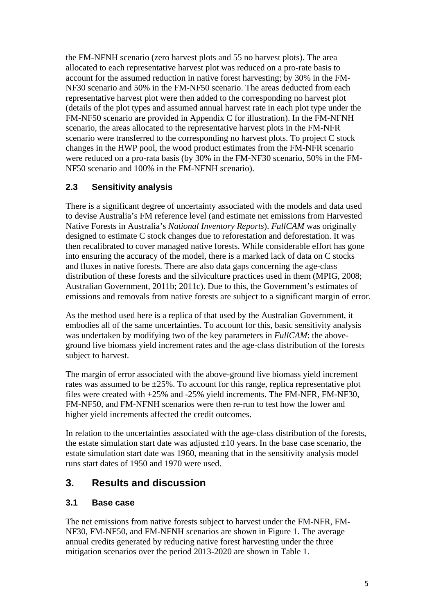the FM-NFNH scenario (zero harvest plots and 55 no harvest plots). The area allocated to each representative harvest plot was reduced on a pro-rate basis to account for the assumed reduction in native forest harvesting; by 30% in the FM-NF30 scenario and 50% in the FM-NF50 scenario. The areas deducted from each representative harvest plot were then added to the corresponding no harvest plot (details of the plot types and assumed annual harvest rate in each plot type under the FM-NF50 scenario are provided in Appendix C for illustration). In the FM-NFNH scenario, the areas allocated to the representative harvest plots in the FM-NFR scenario were transferred to the corresponding no harvest plots. To project C stock changes in the HWP pool, the wood product estimates from the FM-NFR scenario were reduced on a pro-rata basis (by 30% in the FM-NF30 scenario, 50% in the FM-NF50 scenario and 100% in the FM-NFNH scenario).

# **2.3 Sensitivity analysis**

There is a significant degree of uncertainty associated with the models and data used to devise Australia's FM reference level (and estimate net emissions from Harvested Native Forests in Australia's *National Inventory Reports*). *FullCAM* was originally designed to estimate C stock changes due to reforestation and deforestation. It was then recalibrated to cover managed native forests. While considerable effort has gone into ensuring the accuracy of the model, there is a marked lack of data on C stocks and fluxes in native forests. There are also data gaps concerning the age-class distribution of these forests and the silviculture practices used in them (MPIG, 2008; Australian Government, 2011b; 2011c). Due to this, the Government's estimates of emissions and removals from native forests are subject to a significant margin of error.

As the method used here is a replica of that used by the Australian Government, it embodies all of the same uncertainties. To account for this, basic sensitivity analysis was undertaken by modifying two of the key parameters in *FullCAM*: the aboveground live biomass yield increment rates and the age-class distribution of the forests subject to harvest.

The margin of error associated with the above-ground live biomass yield increment rates was assumed to be  $\pm 25\%$ . To account for this range, replica representative plot files were created with +25% and -25% yield increments. The FM-NFR, FM-NF30, FM-NF50, and FM-NFNH scenarios were then re-run to test how the lower and higher yield increments affected the credit outcomes.

In relation to the uncertainties associated with the age-class distribution of the forests, the estate simulation start date was adjusted  $\pm 10$  years. In the base case scenario, the estate simulation start date was 1960, meaning that in the sensitivity analysis model runs start dates of 1950 and 1970 were used.

# **3. Results and discussion**

## **3.1 Base case**

The net emissions from native forests subject to harvest under the FM-NFR, FM-NF30, FM-NF50, and FM-NFNH scenarios are shown in Figure 1. The average annual credits generated by reducing native forest harvesting under the three mitigation scenarios over the period 2013-2020 are shown in Table 1.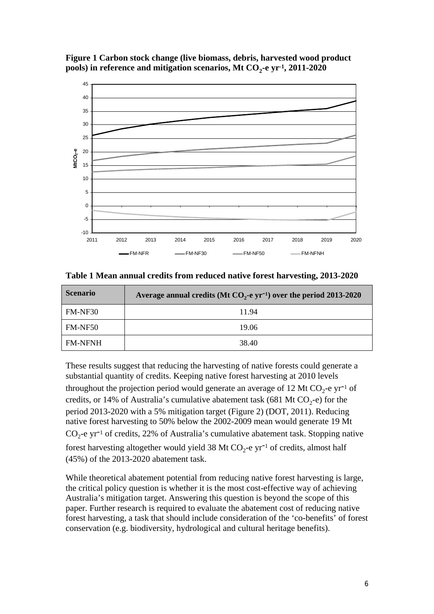

**Figure 1 Carbon stock change (live biomass, debris, harvested wood product**  pools) in reference and mitigation scenarios, Mt CO<sub>2</sub>-e yr<sup>-1</sup>, 2011-2020

**Table 1 Mean annual credits from reduced native forest harvesting, 2013-2020** 

| <b>Scenario</b> | Average annual credits (Mt $CO_2$ -e yr <sup>-1</sup> ) over the period 2013-2020 |
|-----------------|-----------------------------------------------------------------------------------|
| FM-NF30         | 11.94                                                                             |
| FM-NF50         | 19.06                                                                             |
| <b>FM-NFNH</b>  | 38.40                                                                             |

These results suggest that reducing the harvesting of native forests could generate a substantial quantity of credits. Keeping native forest harvesting at 2010 levels throughout the projection period would generate an average of 12 Mt  $CO<sub>2</sub>$ -e yr<sup>-1</sup> of credits, or 14% of Australia's cumulative abatement task (681 Mt  $CO_2$ -e) for the period 2013-2020 with a 5% mitigation target (Figure 2) (DOT, 2011). Reducing native forest harvesting to 50% below the 2002-2009 mean would generate 19 Mt  $CO<sub>2</sub>$ -e yr<sup>-1</sup> of credits, 22% of Australia's cumulative abatement task. Stopping native forest harvesting altogether would yield 38 Mt  $CO<sub>2</sub>$ -e yr<sup>-1</sup> of credits, almost half (45%) of the 2013-2020 abatement task.

While theoretical abatement potential from reducing native forest harvesting is large, the critical policy question is whether it is the most cost-effective way of achieving Australia's mitigation target. Answering this question is beyond the scope of this paper. Further research is required to evaluate the abatement cost of reducing native forest harvesting, a task that should include consideration of the 'co-benefits' of forest conservation (e.g. biodiversity, hydrological and cultural heritage benefits).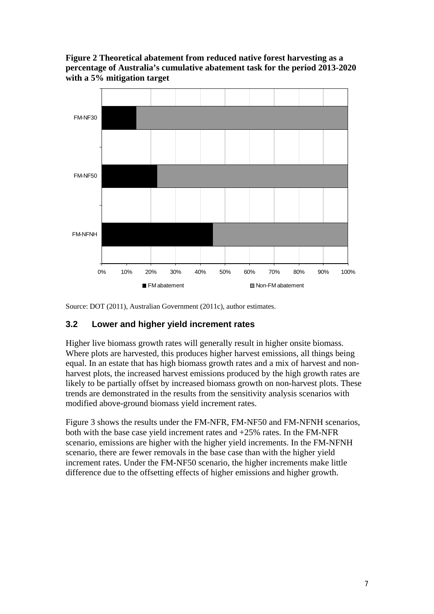**Figure 2 Theoretical abatement from reduced native forest harvesting as a percentage of Australia's cumulative abatement task for the period 2013-2020 with a 5% mitigation target** 



Source: DOT (2011), Australian Government (2011c), author estimates.

## **3.2 Lower and higher yield increment rates**

Higher live biomass growth rates will generally result in higher onsite biomass. Where plots are harvested, this produces higher harvest emissions, all things being equal. In an estate that has high biomass growth rates and a mix of harvest and nonharvest plots, the increased harvest emissions produced by the high growth rates are likely to be partially offset by increased biomass growth on non-harvest plots. These trends are demonstrated in the results from the sensitivity analysis scenarios with modified above-ground biomass yield increment rates.

Figure 3 shows the results under the FM-NFR, FM-NF50 and FM-NFNH scenarios, both with the base case yield increment rates and +25% rates. In the FM-NFR scenario, emissions are higher with the higher yield increments. In the FM-NFNH scenario, there are fewer removals in the base case than with the higher yield increment rates. Under the FM-NF50 scenario, the higher increments make little difference due to the offsetting effects of higher emissions and higher growth.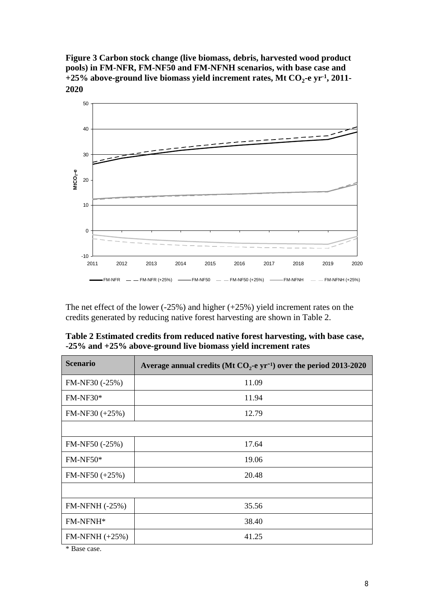**Figure 3 Carbon stock change (live biomass, debris, harvested wood product pools) in FM-NFR, FM-NF50 and FM-NFNH scenarios, with base case and**  +25% above-ground live biomass yield increment rates, Mt CO<sub>2</sub>-e yr<sup>-1</sup>, 2011-**2020**



The net effect of the lower  $(-25%)$  and higher  $(+25%)$  yield increment rates on the credits generated by reducing native forest harvesting are shown in Table 2.

| Table 2 Estimated credits from reduced native forest harvesting, with base case, |  |
|----------------------------------------------------------------------------------|--|
| -25% and +25% above-ground live biomass yield increment rates                    |  |

| <b>Scenario</b>       | Average annual credits (Mt $CO_2$ -e yr <sup>-1</sup> ) over the period 2013-2020 |
|-----------------------|-----------------------------------------------------------------------------------|
| FM-NF30 (-25%)        | 11.09                                                                             |
| $FM-NF30*$            | 11.94                                                                             |
| $FM-NF30 (+25%)$      | 12.79                                                                             |
|                       |                                                                                   |
| FM-NF50 (-25%)        | 17.64                                                                             |
| $FM-NF50*$            | 19.06                                                                             |
| $FM-NF50 (+25%)$      | 20.48                                                                             |
|                       |                                                                                   |
| <b>FM-NFNH</b> (-25%) | 35.56                                                                             |
| FM-NFNH*              | 38.40                                                                             |
| $FM-NFNH (+25%)$      | 41.25                                                                             |

\* Base case.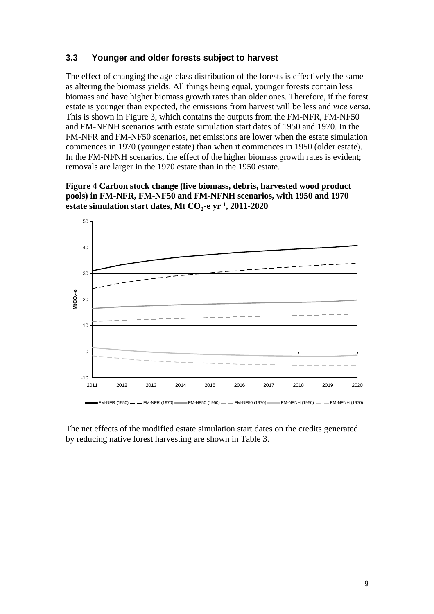#### **3.3 Younger and older forests subject to harvest**

The effect of changing the age-class distribution of the forests is effectively the same as altering the biomass yields. All things being equal, younger forests contain less biomass and have higher biomass growth rates than older ones. Therefore, if the forest estate is younger than expected, the emissions from harvest will be less and *vice versa*. This is shown in Figure 3, which contains the outputs from the FM-NFR, FM-NF50 and FM-NFNH scenarios with estate simulation start dates of 1950 and 1970. In the FM-NFR and FM-NF50 scenarios, net emissions are lower when the estate simulation commences in 1970 (younger estate) than when it commences in 1950 (older estate). In the FM-NFNH scenarios, the effect of the higher biomass growth rates is evident; removals are larger in the 1970 estate than in the 1950 estate.

**Figure 4 Carbon stock change (live biomass, debris, harvested wood product pools) in FM-NFR, FM-NF50 and FM-NFNH scenarios, with 1950 and 1970**  estate simulation start dates, Mt CO<sub>2</sub>-e yr<sup>-1</sup>, 2011-2020



The net effects of the modified estate simulation start dates on the credits generated by reducing native forest harvesting are shown in Table 3.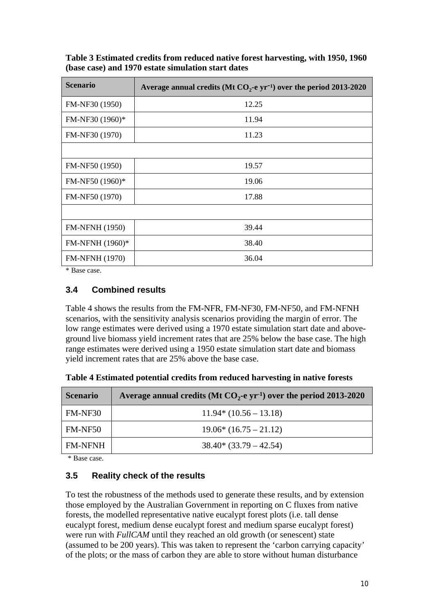| <b>Scenario</b>       | Average annual credits (Mt $CO_2$ -e yr <sup>-1</sup> ) over the period 2013-2020 |
|-----------------------|-----------------------------------------------------------------------------------|
| FM-NF30 (1950)        | 12.25                                                                             |
| FM-NF30 (1960)*       | 11.94                                                                             |
| FM-NF30 (1970)        | 11.23                                                                             |
|                       |                                                                                   |
| FM-NF50 (1950)        | 19.57                                                                             |
| FM-NF50 (1960)*       | 19.06                                                                             |
| FM-NF50 (1970)        | 17.88                                                                             |
|                       |                                                                                   |
| <b>FM-NFNH</b> (1950) | 39.44                                                                             |
| FM-NFNH (1960)*       | 38.40                                                                             |
| <b>FM-NFNH</b> (1970) | 36.04                                                                             |

**Table 3 Estimated credits from reduced native forest harvesting, with 1950, 1960 (base case) and 1970 estate simulation start dates** 

\* Base case.

#### **3.4 Combined results**

Table 4 shows the results from the FM-NFR, FM-NF30, FM-NF50, and FM-NFNH scenarios, with the sensitivity analysis scenarios providing the margin of error. The low range estimates were derived using a 1970 estate simulation start date and aboveground live biomass yield increment rates that are 25% below the base case. The high range estimates were derived using a 1950 estate simulation start date and biomass yield increment rates that are 25% above the base case.

| <b>Scenario</b> | Average annual credits (Mt $CO_2$ -e yr <sup>-1</sup> ) over the period 2013-2020 |  |
|-----------------|-----------------------------------------------------------------------------------|--|
| FM-NF30         | $11.94*(10.56-13.18)$                                                             |  |
| FM-NF50         | $19.06*(16.75-21.12)$                                                             |  |
| <b>FM-NFNH</b>  | $38.40*(33.79-42.54)$                                                             |  |

**Table 4 Estimated potential credits from reduced harvesting in native forests** 

\* Base case.

#### **3.5 Reality check of the results**

To test the robustness of the methods used to generate these results, and by extension those employed by the Australian Government in reporting on C fluxes from native forests, the modelled representative native eucalypt forest plots (i.e. tall dense eucalypt forest, medium dense eucalypt forest and medium sparse eucalypt forest) were run with *FullCAM* until they reached an old growth (or senescent) state (assumed to be 200 years). This was taken to represent the 'carbon carrying capacity' of the plots; or the mass of carbon they are able to store without human disturbance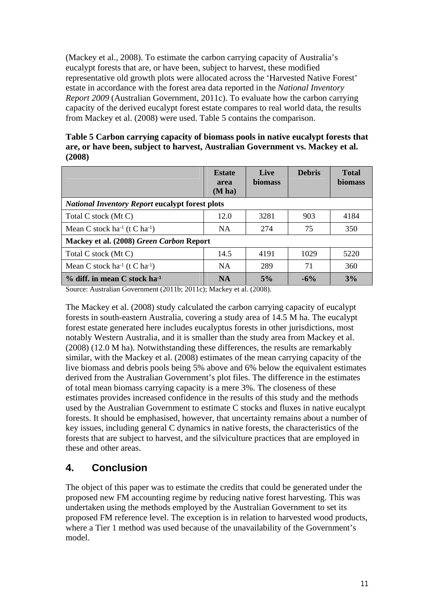(Mackey et al., 2008). To estimate the carbon carrying capacity of Australia's eucalypt forests that are, or have been, subject to harvest, these modified representative old growth plots were allocated across the 'Harvested Native Forest' estate in accordance with the forest area data reported in the *National Inventory Report 2009* (Australian Government, 2011c). To evaluate how the carbon carrying capacity of the derived eucalypt forest estate compares to real world data, the results from Mackey et al. (2008) were used. Table 5 contains the comparison.

**Table 5 Carbon carrying capacity of biomass pools in native eucalypt forests that are, or have been, subject to harvest, Australian Government vs. Mackey et al. (2008)** 

|                                                        | <b>Estate</b><br>area<br>(M ha) | Live<br><b>biomass</b> | <b>Debris</b> | <b>Total</b><br><b>biomass</b> |
|--------------------------------------------------------|---------------------------------|------------------------|---------------|--------------------------------|
| <b>National Inventory Report eucalypt forest plots</b> |                                 |                        |               |                                |
| Total C stock (Mt C)                                   | 12.0                            | 3281                   | 903           | 4184                           |
| Mean C stock ha <sup>-1</sup> (t C ha <sup>-1</sup> )  | NA.                             | 274                    | 75            | 350                            |
| Mackey et al. (2008) Green Carbon Report               |                                 |                        |               |                                |
| Total C stock (Mt C)                                   | 14.5                            | 4191                   | 1029          | 5220                           |
| Mean C stock ha <sup>-1</sup> (t C ha <sup>-1</sup> )  | NA.                             | 289                    | 71            | 360                            |
| $%$ diff. in mean C stock ha <sup>-1</sup>             | <b>NA</b>                       | 5%                     | $-6\%$        | 3%                             |

Source: Australian Government (2011b; 2011c); Mackey et al. (2008).

The Mackey et al. (2008) study calculated the carbon carrying capacity of eucalypt forests in south-eastern Australia, covering a study area of 14.5 M ha. The eucalypt forest estate generated here includes eucalyptus forests in other jurisdictions, most notably Western Australia, and it is smaller than the study area from Mackey et al. (2008) (12.0 M ha). Notwithstanding these differences, the results are remarkably similar, with the Mackey et al. (2008) estimates of the mean carrying capacity of the live biomass and debris pools being 5% above and 6% below the equivalent estimates derived from the Australian Government's plot files. The difference in the estimates of total mean biomass carrying capacity is a mere 3%. The closeness of these estimates provides increased confidence in the results of this study and the methods used by the Australian Government to estimate C stocks and fluxes in native eucalypt forests. It should be emphasised, however, that uncertainty remains about a number of key issues, including general C dynamics in native forests, the characteristics of the forests that are subject to harvest, and the silviculture practices that are employed in these and other areas.

# **4. Conclusion**

The object of this paper was to estimate the credits that could be generated under the proposed new FM accounting regime by reducing native forest harvesting. This was undertaken using the methods employed by the Australian Government to set its proposed FM reference level. The exception is in relation to harvested wood products, where a Tier 1 method was used because of the unavailability of the Government's model.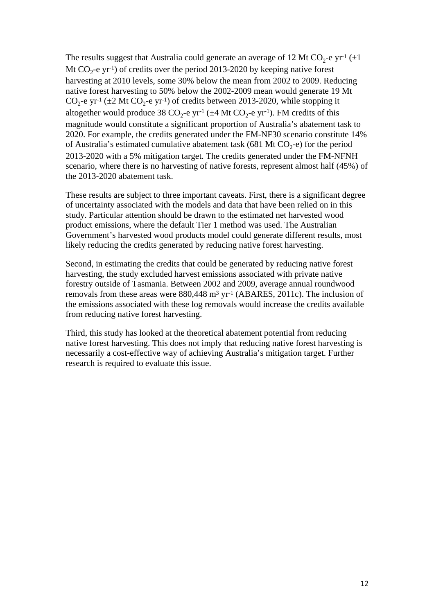The results suggest that Australia could generate an average of 12 Mt  $CO_2$ -e yr<sup>-1</sup> ( $\pm$ 1) Mt  $CO_2$ -e yr<sup>-1</sup>) of credits over the period 2013-2020 by keeping native forest harvesting at 2010 levels, some 30% below the mean from 2002 to 2009. Reducing native forest harvesting to 50% below the 2002-2009 mean would generate 19 Mt  $CO_2$ -e yr<sup>-1</sup> ( $\pm$ 2 Mt  $CO_2$ -e yr<sup>-1</sup>) of credits between 2013-2020, while stopping it altogether would produce 38 CO<sub>2</sub>-e yr<sup>-1</sup> ( $\pm$ 4 Mt CO<sub>2</sub>-e yr<sup>-1</sup>). FM credits of this magnitude would constitute a significant proportion of Australia's abatement task to 2020. For example, the credits generated under the FM-NF30 scenario constitute 14% of Australia's estimated cumulative abatement task (681 Mt  $CO_2$ -e) for the period 2013-2020 with a 5% mitigation target. The credits generated under the FM-NFNH scenario, where there is no harvesting of native forests, represent almost half (45%) of the 2013-2020 abatement task.

These results are subject to three important caveats. First, there is a significant degree of uncertainty associated with the models and data that have been relied on in this study. Particular attention should be drawn to the estimated net harvested wood product emissions, where the default Tier 1 method was used. The Australian Government's harvested wood products model could generate different results, most likely reducing the credits generated by reducing native forest harvesting.

Second, in estimating the credits that could be generated by reducing native forest harvesting, the study excluded harvest emissions associated with private native forestry outside of Tasmania. Between 2002 and 2009, average annual roundwood removals from these areas were 880,448 m<sup>3</sup> yr<sup>-1</sup> (ABARES, 2011c). The inclusion of the emissions associated with these log removals would increase the credits available from reducing native forest harvesting.

Third, this study has looked at the theoretical abatement potential from reducing native forest harvesting. This does not imply that reducing native forest harvesting is necessarily a cost-effective way of achieving Australia's mitigation target. Further research is required to evaluate this issue.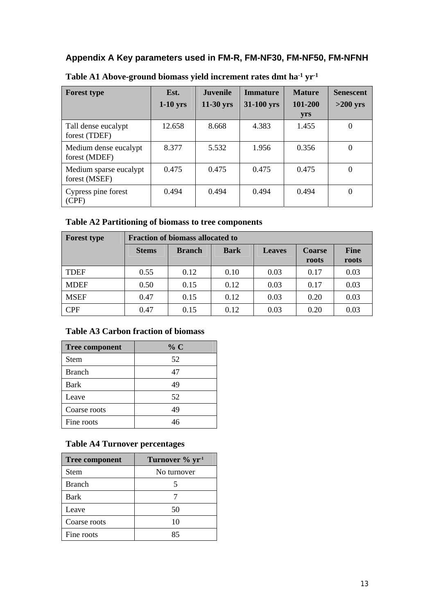## **Appendix A Key parameters used in FM-R, FM-NF30, FM-NF50, FM-NFNH**

| <b>Forest type</b>                      | Est.<br>$1-10$ yrs | <b>Juvenile</b><br>$11-30$ yrs | <b>Immature</b><br>31-100 yrs | <b>Mature</b><br>101-200<br>yrs | <b>Senescent</b><br>$>200$ yrs |
|-----------------------------------------|--------------------|--------------------------------|-------------------------------|---------------------------------|--------------------------------|
| Tall dense eucalypt<br>forest (TDEF)    | 12.658             | 8.668                          | 4.383                         | 1.455                           | $\theta$                       |
| Medium dense eucalypt<br>forest (MDEF)  | 8.377              | 5.532                          | 1.956                         | 0.356                           | $\Omega$                       |
| Medium sparse eucalypt<br>forest (MSEF) | 0.475              | 0.475                          | 0.475                         | 0.475                           | $\Omega$                       |
| Cypress pine forest<br>(CPF)            | 0.494              | 0.494                          | 0.494                         | 0.494                           | 0                              |

#### **Table A1 Above-ground biomass yield increment rates dmt ha-1 yr-1**

# **Table A2 Partitioning of biomass to tree components**

| <b>Forest type</b> | <b>Fraction of biomass allocated to</b> |               |             |               |                        |                      |
|--------------------|-----------------------------------------|---------------|-------------|---------------|------------------------|----------------------|
|                    | <b>Stems</b>                            | <b>Branch</b> | <b>Bark</b> | <b>Leaves</b> | <b>Coarse</b><br>roots | <b>Fine</b><br>roots |
| <b>TDEF</b>        | 0.55                                    | 0.12          | 0.10        | 0.03          | 0.17                   | 0.03                 |
| <b>MDEF</b>        | 0.50                                    | 0.15          | 0.12        | 0.03          | 0.17                   | 0.03                 |
| <b>MSEF</b>        | 0.47                                    | 0.15          | 0.12        | 0.03          | 0.20                   | 0.03                 |
| <b>CPF</b>         | 0.47                                    | 0.15          | 0.12        | 0.03          | 0.20                   | 0.03                 |

#### **Table A3 Carbon fraction of biomass**

| <b>Tree component</b> | % C |
|-----------------------|-----|
| <b>Stem</b>           | 52  |
| <b>Branch</b>         | 47  |
| <b>Bark</b>           | 49  |
| Leave                 | 52  |
| Coarse roots          | 49  |
| Fine roots            |     |

#### **Table A4 Turnover percentages**

| <b>Tree component</b> | Turnover $\%$ yr <sup>-1</sup> |
|-----------------------|--------------------------------|
| Stem                  | No turnover                    |
| <b>Branch</b>         |                                |
| <b>Bark</b>           |                                |
| Leave                 | 50                             |
| Coarse roots          | 10                             |
| Fine roots            | 85                             |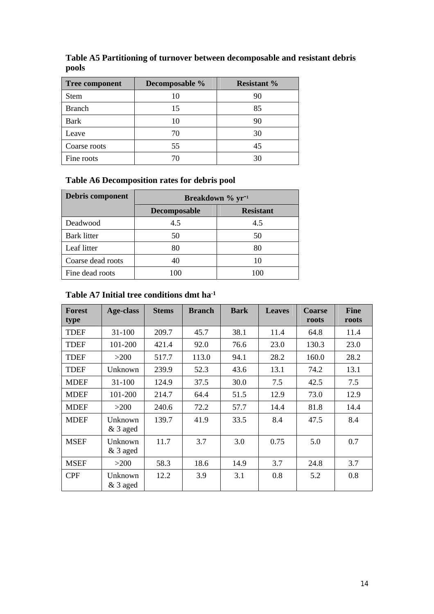| <b>Tree component</b> | Decomposable % | <b>Resistant</b> % |
|-----------------------|----------------|--------------------|
| <b>Stem</b>           | 10             | 90                 |
| <b>Branch</b>         | 15             | 85                 |
| <b>Bark</b>           | 10             | 90                 |
| Leave                 | 70             | 30                 |
| Coarse roots          | 55             | 45                 |
| Fine roots            |                | 30                 |

**Table A5 Partitioning of turnover between decomposable and resistant debris pools** 

## **Table A6 Decomposition rates for debris pool**

| Debris component   | Breakdown % yr <sup>-1</sup> |                  |  |  |
|--------------------|------------------------------|------------------|--|--|
|                    | Decomposable                 | <b>Resistant</b> |  |  |
| Deadwood           | 4.5                          | 4.5              |  |  |
| <b>Bark litter</b> | 50                           | 50               |  |  |
| Leaf litter        | 80                           | 80               |  |  |
| Coarse dead roots  | 40                           | 10               |  |  |
| Fine dead roots    | 100                          | 100              |  |  |

## **Table A7 Initial tree conditions dmt ha-1**

| <b>Forest</b><br>type | <b>Age-class</b>      | <b>Stems</b> | <b>Branch</b> | <b>Bark</b> | <b>Leaves</b> | <b>Coarse</b><br>roots | <b>Fine</b><br>roots |
|-----------------------|-----------------------|--------------|---------------|-------------|---------------|------------------------|----------------------|
| TDEF                  | 31-100                | 209.7        | 45.7          | 38.1        | 11.4          | 64.8                   | 11.4                 |
| <b>TDEF</b>           | 101-200               | 421.4        | 92.0          | 76.6        | 23.0          | 130.3                  | 23.0                 |
| TDEF                  | >200                  | 517.7        | 113.0         | 94.1        | 28.2          | 160.0                  | 28.2                 |
| <b>TDEF</b>           | Unknown               | 239.9        | 52.3          | 43.6        | 13.1          | 74.2                   | 13.1                 |
| <b>MDEF</b>           | $31 - 100$            | 124.9        | 37.5          | 30.0        | 7.5           | 42.5                   | 7.5                  |
| <b>MDEF</b>           | 101-200               | 214.7        | 64.4          | 51.5        | 12.9          | 73.0                   | 12.9                 |
| <b>MDEF</b>           | >200                  | 240.6        | 72.2          | 57.7        | 14.4          | 81.8                   | 14.4                 |
| <b>MDEF</b>           | Unknown<br>$&$ 3 aged | 139.7        | 41.9          | 33.5        | 8.4           | 47.5                   | 8.4                  |
| <b>MSEF</b>           | Unknown<br>$&$ 3 aged | 11.7         | 3.7           | 3.0         | 0.75          | 5.0                    | 0.7                  |
| <b>MSEF</b>           | >200                  | 58.3         | 18.6          | 14.9        | 3.7           | 24.8                   | 3.7                  |
| <b>CPF</b>            | Unknown<br>$&$ 3 aged | 12.2         | 3.9           | 3.1         | 0.8           | 5.2                    | 0.8                  |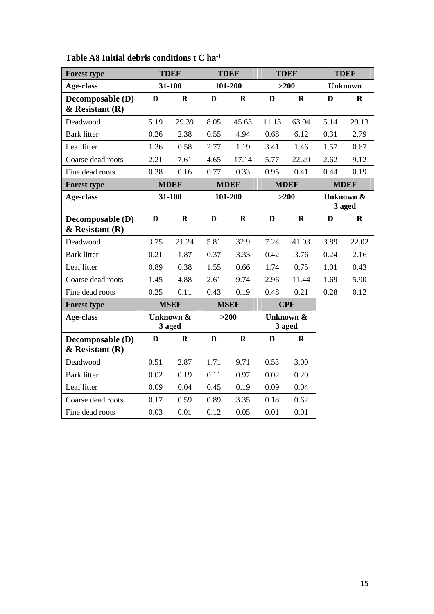| <b>Forest type</b>                      |                     | <b>TDEF</b> |        | <b>TDEF</b> | <b>TDEF</b>         |             | <b>TDEF</b>         |             |
|-----------------------------------------|---------------------|-------------|--------|-------------|---------------------|-------------|---------------------|-------------|
| Age-class                               |                     | 31-100      |        | 101-200     | $>200$              |             | <b>Unknown</b>      |             |
| Decomposable (D)<br>$&$ Resistant $(R)$ | D                   | $\mathbf R$ | D      | $\mathbf R$ | D                   | $\mathbf R$ | D                   | $\mathbf R$ |
| Deadwood                                | 5.19                | 29.39       | 8.05   | 45.63       | 11.13               | 63.04       | 5.14                | 29.13       |
| <b>Bark litter</b>                      | 0.26                | 2.38        | 0.55   | 4.94        | 0.68                | 6.12        | 0.31                | 2.79        |
| Leaf litter                             | 1.36                | 0.58        | 2.77   | 1.19        | 3.41                | 1.46        | 1.57                | 0.67        |
| Coarse dead roots                       | 2.21                | 7.61        | 4.65   | 17.14       | 5.77                | 22.20       | 2.62                | 9.12        |
| Fine dead roots                         | 0.38                | 0.16        | 0.77   | 0.33        | 0.95                | 0.41        | 0.44                | 0.19        |
| <b>Forest type</b>                      |                     | <b>MDEF</b> |        | <b>MDEF</b> |                     | <b>MDEF</b> | <b>MDEF</b>         |             |
| Age-class                               |                     | 31-100      |        | 101-200     | $>200$              |             | Unknown &<br>3 aged |             |
| Decomposable (D)<br>$&$ Resistant $(R)$ | D                   | $\mathbf R$ | D      | $\mathbf R$ | D                   | $\mathbf R$ | D                   | $\mathbf R$ |
| Deadwood                                | 3.75                | 21.24       | 5.81   | 32.9        | 7.24                | 41.03       | 3.89                | 22.02       |
| <b>Bark litter</b>                      | 0.21                | 1.87        | 0.37   | 3.33        | 0.42                | 3.76        | 0.24                | 2.16        |
| Leaf litter                             | 0.89                | 0.38        | 1.55   | 0.66        | 1.74                | 0.75        | 1.01                | 0.43        |
| Coarse dead roots                       | 1.45                | 4.88        | 2.61   | 9.74        | 2.96                | 11.44       | 1.69                | 5.90        |
| Fine dead roots                         | 0.25                | 0.11        | 0.43   | 0.19        | 0.48                | 0.21        | 0.28                | 0.12        |
| <b>Forest type</b>                      |                     | <b>MSEF</b> |        | <b>MSEF</b> |                     | <b>CPF</b>  |                     |             |
| Age-class                               | Unknown &<br>3 aged |             | $>200$ |             | Unknown &<br>3 aged |             |                     |             |
| Decomposable (D)<br>$&$ Resistant $(R)$ | D                   | $\mathbf R$ | D      | $\mathbf R$ | D                   | $\mathbf R$ |                     |             |
| Deadwood                                | 0.51                | 2.87        | 1.71   | 9.71        | 0.53                | 3.00        |                     |             |
| <b>Bark litter</b>                      | 0.02                | 0.19        | 0.11   | 0.97        | 0.02                | 0.20        |                     |             |
| Leaf litter                             | 0.09                | 0.04        | 0.45   | 0.19        | 0.09                | 0.04        |                     |             |
| Coarse dead roots                       | 0.17                | 0.59        | 0.89   | 3.35        | 0.18                | 0.62        |                     |             |
| Fine dead roots                         | 0.03                | 0.01        | 0.12   | 0.05        | 0.01                | 0.01        |                     |             |

**Table A8 Initial debris conditions t C ha-1**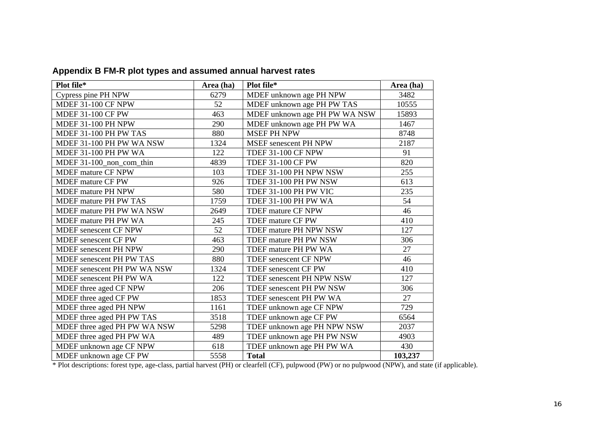| Plot file*                   | Area (ha) | Plot file*                    | Area (ha) |
|------------------------------|-----------|-------------------------------|-----------|
| Cypress pine PH NPW          | 6279      | MDEF unknown age PH NPW       | 3482      |
| <b>MDEF 31-100 CF NPW</b>    | 52        | MDEF unknown age PH PW TAS    | 10555     |
| <b>MDEF 31-100 CF PW</b>     | 463       | MDEF unknown age PH PW WA NSW | 15893     |
| <b>MDEF 31-100 PH NPW</b>    | 290       | MDEF unknown age PH PW WA     | 1467      |
| MDEF 31-100 PH PW TAS        | 880       | <b>MSEF PH NPW</b>            | 8748      |
| MDEF 31-100 PH PW WA NSW     | 1324      | <b>MSEF</b> senescent PH NPW  | 2187      |
| MDEF 31-100 PH PW WA         | 122       | <b>TDEF 31-100 CF NPW</b>     | 91        |
| MDEF 31-100_non_com_thin     | 4839      | TDEF 31-100 CF PW             | 820       |
| MDEF mature CF NPW           | 103       | TDEF 31-100 PH NPW NSW        | 255       |
| MDEF mature CF PW            | 926       | TDEF 31-100 PH PW NSW         | 613       |
| <b>MDEF</b> mature PH NPW    | 580       | TDEF 31-100 PH PW VIC         | 235       |
| MDEF mature PH PW TAS        | 1759      | TDEF 31-100 PH PW WA          | 54        |
| MDEF mature PH PW WA NSW     | 2649      | TDEF mature CF NPW            | 46        |
| MDEF mature PH PW WA         | 245       | TDEF mature CF PW             | 410       |
| <b>MDEF</b> senescent CF NPW | 52        | TDEF mature PH NPW NSW        | 127       |
| MDEF senescent CF PW         | 463       | TDEF mature PH PW NSW         | 306       |
| <b>MDEF</b> senescent PH NPW | 290       | TDEF mature PH PW WA          | 27        |
| MDEF senescent PH PW TAS     | 880       | TDEF senescent CF NPW         | 46        |
| MDEF senescent PH PW WA NSW  | 1324      | TDEF senescent CF PW          | 410       |
| MDEF senescent PH PW WA      | 122       | TDEF senescent PH NPW NSW     | 127       |
| MDEF three aged CF NPW       | 206       | TDEF senescent PH PW NSW      | 306       |
| MDEF three aged CF PW        | 1853      | TDEF senescent PH PW WA       | 27        |
| MDEF three aged PH NPW       | 1161      | TDEF unknown age CF NPW       | 729       |
| MDEF three aged PH PW TAS    | 3518      | TDEF unknown age CF PW        | 6564      |
| MDEF three aged PH PW WA NSW | 5298      | TDEF unknown age PH NPW NSW   | 2037      |
| MDEF three aged PH PW WA     | 489       | TDEF unknown age PH PW NSW    | 4903      |
| MDEF unknown age CF NPW      | 618       | TDEF unknown age PH PW WA     | 430       |
| MDEF unknown age CF PW       | 5558      | <b>Total</b>                  | 103,237   |

# **Appendix B FM-R plot types and assumed annual harvest rates**

\* Plot descriptions: forest type, age-class, partial harvest (PH) or clearfell (CF), pulpwood (PW) or no pulpwood (NPW), and state (if applicable).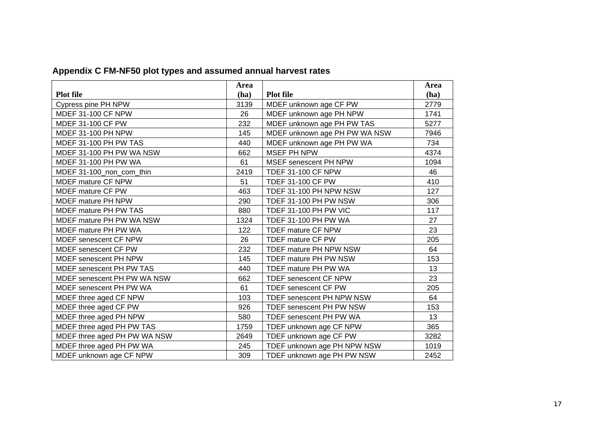# **Appendix C FM-NF50 plot types and assumed annual harvest rates**

|                              | Area |                                  | Area |
|------------------------------|------|----------------------------------|------|
| <b>Plot file</b>             | (ha) | <b>Plot file</b>                 | (ha) |
| Cypress pine PH NPW          | 3139 | MDEF unknown age CF PW           | 2779 |
| <b>MDEF 31-100 CF NPW</b>    | 26   | MDEF unknown age PH NPW          | 1741 |
| MDEF 31-100 CF PW            | 232  | MDEF unknown age PH PW TAS       | 5277 |
| <b>MDEF 31-100 PH NPW</b>    | 145  | MDEF unknown age PH PW WA NSW    | 7946 |
| MDEF 31-100 PH PW TAS        | 440  | MDEF unknown age PH PW WA        | 734  |
| MDEF 31-100 PH PW WA NSW     | 662  | MSEF PH NPW                      | 4374 |
| MDEF 31-100 PH PW WA         | 61   | MSEF senescent PH NPW            | 1094 |
| MDEF 31-100 non com thin     | 2419 | <b>TDEF 31-100 CF NPW</b>        | 46   |
| <b>MDEF mature CF NPW</b>    | 51   | <b>TDEF 31-100 CF PW</b>         | 410  |
| MDEF mature CF PW            | 463  | TDEF 31-100 PH NPW NSW           | 127  |
| MDEF mature PH NPW           | 290  | TDEF 31-100 PH PW NSW            | 306  |
| MDEF mature PH PW TAS        | 880  | TDEF 31-100 PH PW VIC            | 117  |
| MDEF mature PH PW WA NSW     | 1324 | <b>TDEF 31-100 PH PW WA</b>      | 27   |
| MDEF mature PH PW WA         | 122  | <b>TDEF mature CF NPW</b>        | 23   |
| MDEF senescent CF NPW        | 26   | TDEF mature CF PW                | 205  |
| <b>MDEF</b> senescent CF PW  | 232  | TDEF mature PH NPW NSW           | 64   |
| MDEF senescent PH NPW        | 145  | TDEF mature PH PW NSW            | 153  |
| MDEF senescent PH PW TAS     | 440  | TDEF mature PH PW WA             | 13   |
| MDEF senescent PH PW WA NSW  | 662  | <b>TDEF senescent CF NPW</b>     | 23   |
| MDEF senescent PH PW WA      | 61   | <b>TDEF</b> senescent CF PW      | 205  |
| MDEF three aged CF NPW       | 103  | <b>TDEF senescent PH NPW NSW</b> | 64   |
| MDEF three aged CF PW        | 926  | TDEF senescent PH PW NSW         | 153  |
| MDEF three aged PH NPW       | 580  | <b>TDEF</b> senescent PH PW WA   | 13   |
| MDEF three aged PH PW TAS    | 1759 | TDEF unknown age CF NPW          | 365  |
| MDEF three aged PH PW WA NSW | 2649 | TDEF unknown age CF PW           | 3282 |
| MDEF three aged PH PW WA     | 245  | TDEF unknown age PH NPW NSW      | 1019 |
| MDEF unknown age CF NPW      | 309  | TDEF unknown age PH PW NSW       | 2452 |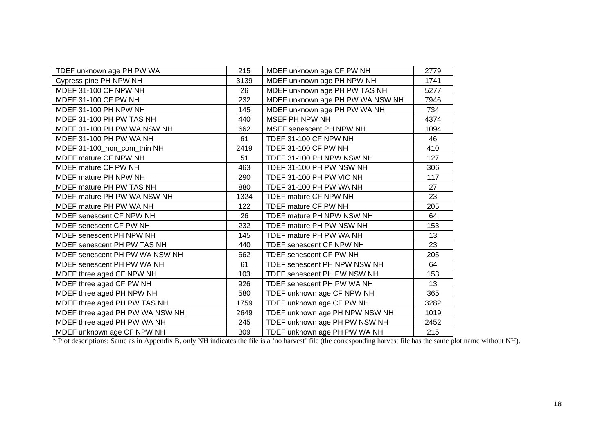| TDEF unknown age PH PW WA       | 215  | MDEF unknown age CF PW NH        | 2779 |
|---------------------------------|------|----------------------------------|------|
| Cypress pine PH NPW NH          | 3139 | MDEF unknown age PH NPW NH       | 1741 |
| MDEF 31-100 CF NPW NH           | 26   | MDEF unknown age PH PW TAS NH    | 5277 |
| MDEF 31-100 CF PW NH            | 232  | MDEF unknown age PH PW WA NSW NH | 7946 |
| MDEF 31-100 PH NPW NH           | 145  | MDEF unknown age PH PW WA NH     | 734  |
| MDEF 31-100 PH PW TAS NH        | 440  | MSEF PH NPW NH                   | 4374 |
| MDEF 31-100 PH PW WA NSW NH     | 662  | MSEF senescent PH NPW NH         | 1094 |
| MDEF 31-100 PH PW WA NH         | 61   | TDEF 31-100 CF NPW NH            | 46   |
| MDEF 31-100_non_com_thin NH     | 2419 | <b>TDEF 31-100 CF PW NH</b>      | 410  |
| MDEF mature CF NPW NH           | 51   | TDEF 31-100 PH NPW NSW NH        | 127  |
| MDEF mature CF PW NH            | 463  | TDEF 31-100 PH PW NSW NH         | 306  |
| MDEF mature PH NPW NH           | 290  | TDEF 31-100 PH PW VIC NH         | 117  |
| MDEF mature PH PW TAS NH        | 880  | TDEF 31-100 PH PW WA NH          | 27   |
| MDEF mature PH PW WA NSW NH     | 1324 | TDEF mature CF NPW NH            | 23   |
| MDEF mature PH PW WA NH         | 122  | TDEF mature CF PW NH             | 205  |
| MDEF senescent CF NPW NH        | 26   | TDEF mature PH NPW NSW NH        | 64   |
| MDEF senescent CF PW NH         | 232  | TDEF mature PH PW NSW NH         | 153  |
| MDEF senescent PH NPW NH        | 145  | TDEF mature PH PW WA NH          | 13   |
| MDEF senescent PH PW TAS NH     | 440  | TDEF senescent CF NPW NH         | 23   |
| MDEF senescent PH PW WA NSW NH  | 662  | <b>TDEF senescent CF PW NH</b>   | 205  |
| MDEF senescent PH PW WA NH      | 61   | TDEF senescent PH NPW NSW NH     | 64   |
| MDEF three aged CF NPW NH       | 103  | TDEF senescent PH PW NSW NH      | 153  |
| MDEF three aged CF PW NH        | 926  | TDEF senescent PH PW WA NH       | 13   |
| MDEF three aged PH NPW NH       | 580  | TDEF unknown age CF NPW NH       | 365  |
| MDEF three aged PH PW TAS NH    | 1759 | TDEF unknown age CF PW NH        | 3282 |
| MDEF three aged PH PW WA NSW NH | 2649 | TDEF unknown age PH NPW NSW NH   | 1019 |
| MDEF three aged PH PW WA NH     | 245  | TDEF unknown age PH PW NSW NH    | 2452 |
| MDEF unknown age CF NPW NH      | 309  | TDEF unknown age PH PW WA NH     | 215  |

\* Plot descriptions: Same as in Appendix B, only NH indicates the file is a 'no harvest' file (the corresponding harvest file has the same plot name without NH).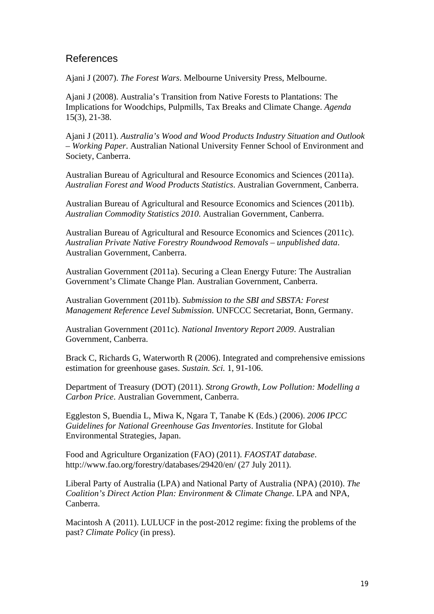#### References

Ajani J (2007). *The Forest Wars*. Melbourne University Press, Melbourne.

Ajani J (2008). Australia's Transition from Native Forests to Plantations: The Implications for Woodchips, Pulpmills, Tax Breaks and Climate Change. *Agenda* 15(3), 21-38.

Ajani J (2011). *Australia's Wood and Wood Products Industry Situation and Outlook – Working Paper*. Australian National University Fenner School of Environment and Society, Canberra.

Australian Bureau of Agricultural and Resource Economics and Sciences (2011a). *Australian Forest and Wood Products Statistics*. Australian Government, Canberra.

Australian Bureau of Agricultural and Resource Economics and Sciences (2011b). *Australian Commodity Statistics 2010*. Australian Government, Canberra.

Australian Bureau of Agricultural and Resource Economics and Sciences (2011c). *Australian Private Native Forestry Roundwood Removals – unpublished data*. Australian Government, Canberra.

Australian Government (2011a). Securing a Clean Energy Future: The Australian Government's Climate Change Plan. Australian Government, Canberra.

Australian Government (2011b). *Submission to the SBI and SBSTA: Forest Management Reference Level Submission*. UNFCCC Secretariat, Bonn, Germany.

Australian Government (2011c). *National Inventory Report 2009*. Australian Government, Canberra.

Brack C, Richards G, Waterworth R (2006). Integrated and comprehensive emissions estimation for greenhouse gases. *Sustain. Sci.* 1, 91-106.

Department of Treasury (DOT) (2011). *Strong Growth, Low Pollution: Modelling a Carbon Price*. Australian Government, Canberra.

Eggleston S, Buendia L, Miwa K, Ngara T, Tanabe K (Eds.) (2006). *2006 IPCC Guidelines for National Greenhouse Gas Inventories*. Institute for Global Environmental Strategies, Japan.

Food and Agriculture Organization (FAO) (2011). *FAOSTAT database*. http://www.fao.org/forestry/databases/29420/en/ (27 July 2011).

Liberal Party of Australia (LPA) and National Party of Australia (NPA) (2010). *The Coalition's Direct Action Plan: Environment & Climate Change*. LPA and NPA, Canberra.

Macintosh A (2011). LULUCF in the post-2012 regime: fixing the problems of the past? *Climate Policy* (in press).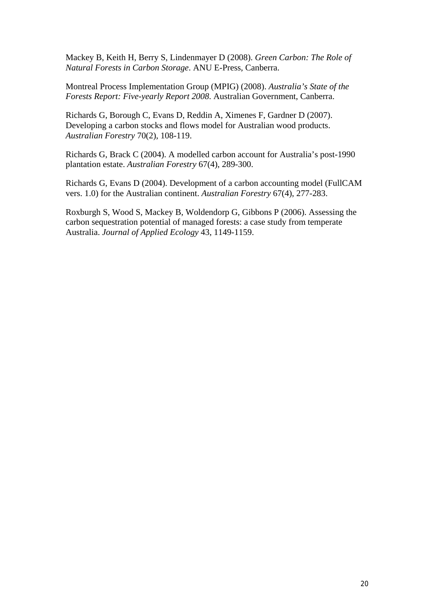Mackey B, Keith H, Berry S, Lindenmayer D (2008). *Green Carbon: The Role of Natural Forests in Carbon Storage*. ANU E-Press, Canberra.

Montreal Process Implementation Group (MPIG) (2008). *Australia's State of the Forests Report: Five-yearly Report 2008*. Australian Government, Canberra.

Richards G, Borough C, Evans D, Reddin A, Ximenes F, Gardner D (2007). Developing a carbon stocks and flows model for Australian wood products. *Australian Forestry* 70(2), 108-119.

Richards G, Brack C (2004). A modelled carbon account for Australia's post-1990 plantation estate. *Australian Forestry* 67(4), 289-300.

Richards G, Evans D (2004). Development of a carbon accounting model (FullCAM vers. 1.0) for the Australian continent. *Australian Forestry* 67(4), 277-283.

Roxburgh S, Wood S, Mackey B, Woldendorp G, Gibbons P (2006). Assessing the carbon sequestration potential of managed forests: a case study from temperate Australia. *Journal of Applied Ecology* 43, 1149-1159.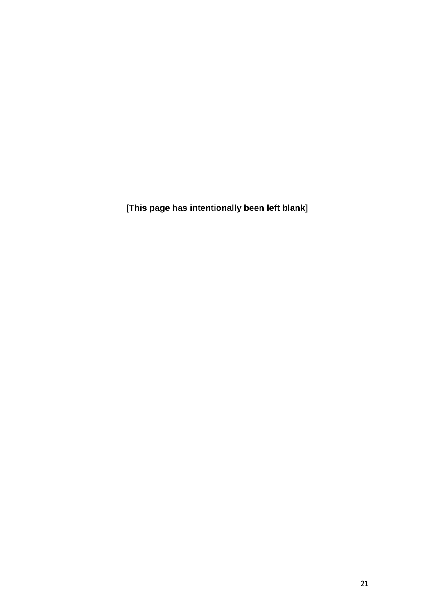**[This page has intentionally been left blank]**